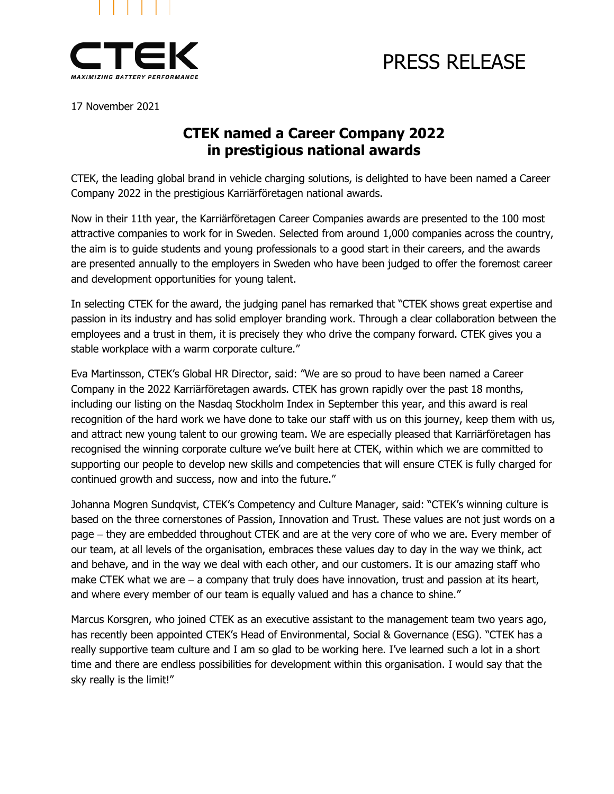

# PRESS RELEASE

17 November 2021

## **CTEK named a Career Company 2022 in prestigious national awards**

CTEK, the leading global brand in vehicle charging solutions, is delighted to have been named a Career Company 2022 in the prestigious Karriärföretagen national awards.

Now in their 11th year, the Karriärföretagen Career Companies awards are presented to the 100 most attractive companies to work for in Sweden. Selected from around 1,000 companies across the country, the aim is to guide students and young professionals to a good start in their careers, and the awards are presented annually to the employers in Sweden who have been judged to offer the foremost career and development opportunities for young talent.

In selecting CTEK for the award, the judging panel has remarked that "CTEK shows great expertise and passion in its industry and has solid employer branding work. Through a clear collaboration between the employees and a trust in them, it is precisely they who drive the company forward. CTEK gives you a stable workplace with a warm corporate culture."

Eva Martinsson, CTEK's Global HR Director, said: "We are so proud to have been named a Career Company in the 2022 Karriärföretagen awards. CTEK has grown rapidly over the past 18 months, including our listing on the Nasdaq Stockholm Index in September this year, and this award is real recognition of the hard work we have done to take our staff with us on this journey, keep them with us, and attract new young talent to our growing team. We are especially pleased that Karriärföretagen has recognised the winning corporate culture we've built here at CTEK, within which we are committed to supporting our people to develop new skills and competencies that will ensure CTEK is fully charged for continued growth and success, now and into the future."

Johanna Mogren Sundqvist, CTEK's Competency and Culture Manager, said: "CTEK's winning culture is based on the three cornerstones of Passion, Innovation and Trust. These values are not just words on a page – they are embedded throughout CTEK and are at the very core of who we are. Every member of our team, at all levels of the organisation, embraces these values day to day in the way we think, act and behave, and in the way we deal with each other, and our customers. It is our amazing staff who make CTEK what we are − a company that truly does have innovation, trust and passion at its heart, and where every member of our team is equally valued and has a chance to shine."

Marcus Korsgren, who joined CTEK as an executive assistant to the management team two years ago, has recently been appointed CTEK's Head of Environmental, Social & Governance (ESG). "CTEK has a really supportive team culture and I am so glad to be working here. I've learned such a lot in a short time and there are endless possibilities for development within this organisation. I would say that the sky really is the limit!"